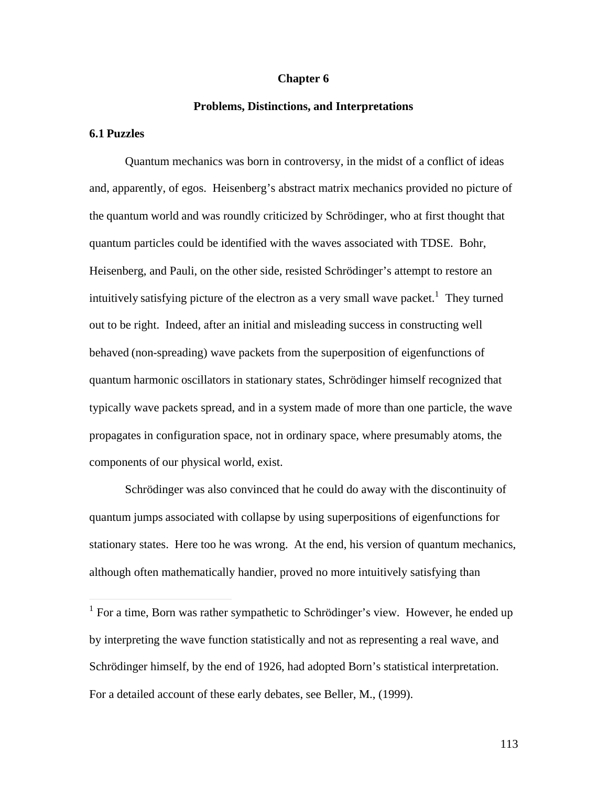#### **Chapter 6**

#### **Problems, Distinctions, and Interpretations**

#### **6.1 Puzzles**

 $\overline{a}$ 

Quantum mechanics was born in controversy, in the midst of a conflict of ideas and, apparently, of egos. Heisenberg's abstract matrix mechanics provided no picture of the quantum world and was roundly criticized by Schrödinger, who at first thought that quantum particles could be identified with the waves associated with TDSE. Bohr, Heisenberg, and Pauli, on the other side, resisted Schrödinger's attempt to restore an intuitively satisfying picture of the electron as a very small wave packet.<sup>1</sup> They turned out to be right. Indeed, after an initial and misleading success in constructing well behaved (non-spreading) wave packets from the superposition of eigenfunctions of quantum harmonic oscillators in stationary states, Schrödinger himself recognized that typically wave packets spread, and in a system made of more than one particle, the wave propagates in configuration space, not in ordinary space, where presumably atoms, the components of our physical world, exist.

Schrödinger was also convinced that he could do away with the discontinuity of quantum jumps associated with collapse by using superpositions of eigenfunctions for stationary states. Here too he was wrong. At the end, his version of quantum mechanics, although often mathematically handier, proved no more intuitively satisfying than

<sup>&</sup>lt;sup>1</sup> For a time, Born was rather sympathetic to Schrödinger's view. However, he ended up by interpreting the wave function statistically and not as representing a real wave, and Schrödinger himself, by the end of 1926, had adopted Born's statistical interpretation. For a detailed account of these early debates, see Beller, M., (1999).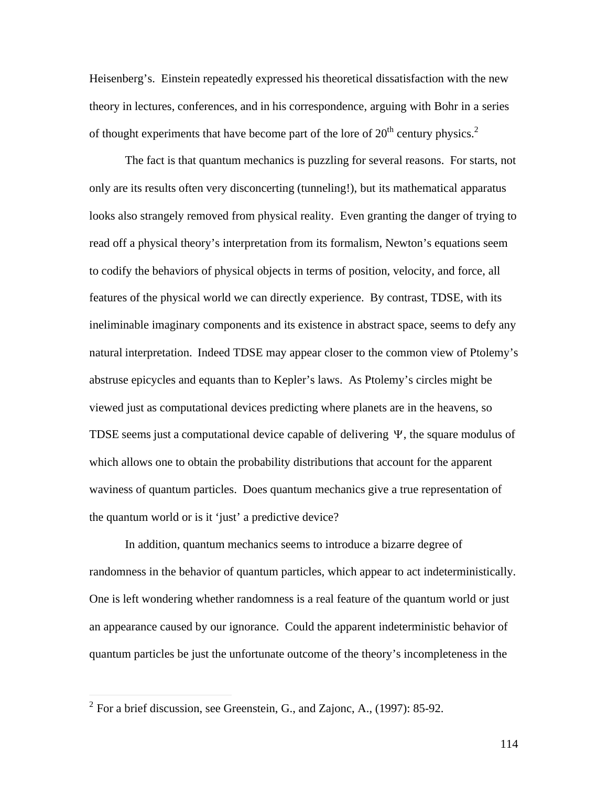Heisenberg's. Einstein repeatedly expressed his theoretical dissatisfaction with the new theory in lectures, conferences, and in his correspondence, arguing with Bohr in a series of thought experiments that have become part of the lore of  $20<sup>th</sup>$  century physics.<sup>2</sup>

The fact is that quantum mechanics is puzzling for several reasons. For starts, not only are its results often very disconcerting (tunneling!), but its mathematical apparatus looks also strangely removed from physical reality. Even granting the danger of trying to read off a physical theory's interpretation from its formalism, Newton's equations seem to codify the behaviors of physical objects in terms of position, velocity, and force, all features of the physical world we can directly experience. By contrast, TDSE, with its ineliminable imaginary components and its existence in abstract space, seems to defy any natural interpretation. Indeed TDSE may appear closer to the common view of Ptolemy's abstruse epicycles and equants than to Kepler's laws. As Ptolemy's circles might be viewed just as computational devices predicting where planets are in the heavens, so TDSE seems just a computational device capable of delivering  $\Psi$ , the square modulus of waviness of quantum particles. Does quantum mechanics give a true representation of which allows one to obtain the probability distributions that account for the apparent the quantum world or is it 'just' a predictive device?

In addition, quantum mechanics seems to introduce a bizarre degree of randomness in the behavior of quantum particles, which appear to act indeterministically. One is left wondering whether randomness is a real feature of the quantum world or just an appearance caused by our ignorance. Could the apparent indeterministic behavior of quantum particles be just the unfortunate outcome of the theory's incompleteness in the

 $\overline{a}$ 

 $2^2$  For a brief discussion, see Greenstein, G., and Zajonc, A., (1997): 85-92.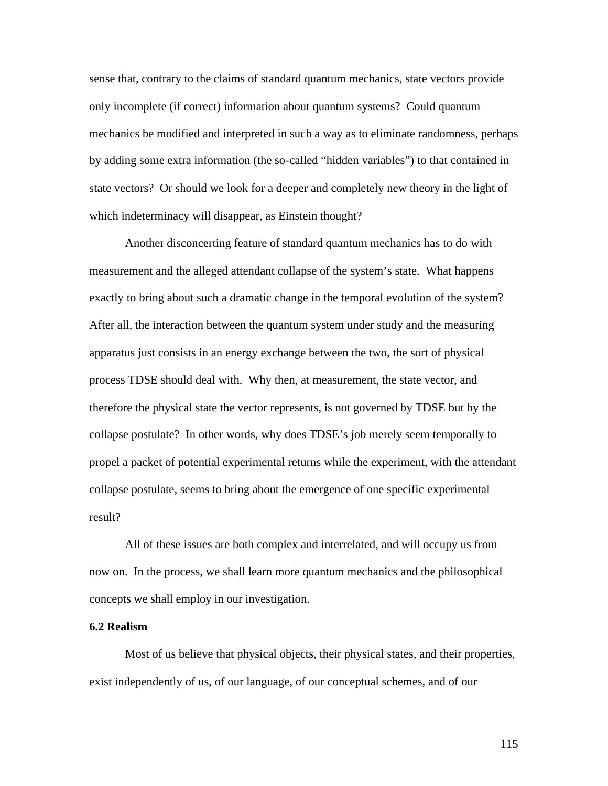sense that, contrary to the claims of standard quantum mechanics, state vectors provide only incomplete (if correct) information about quantum systems? Could quantum mechanics be modified and interpreted in such a way as to eliminate randomness, perhaps by adding some extra information (the so-called "hidden variables") to that contained in state vectors? Or should we look for a deeper and completely new theory in the light of which indeterminacy will disappear, as Einstein thought?

Another disconcerting feature of standard quantum mechanics has to do with measurement and the alleged attendant collapse of the system's state. What happens exactly to bring about such a dramatic change in the temporal evolution of the system? After all, the interaction between the quantum system under study and the measuring apparatus just consists in an energy exchange between the two, the sort of physical process TDSE should deal with. Why then, at measurement, the state vector, and therefore the physical state the vector represents, is not governed by TDSE but by the collapse postulate? In other words, why does TDSE's job merely seem temporally to propel a packet of potential experimental returns while the experiment, with the attendant collapse postulate, seems to bring about the emergence of one specific experimental result?

All of these issues are both complex and interrelated, and will occupy us from now on. In the process, we shall learn more quantum mechanics and the philosophical concepts we shall employ in our investigation.

### **6.2 Realism**

Most of us believe that physical objects, their physical states, and their properties, exist independently of us, of our language, of our conceptual schemes, and of our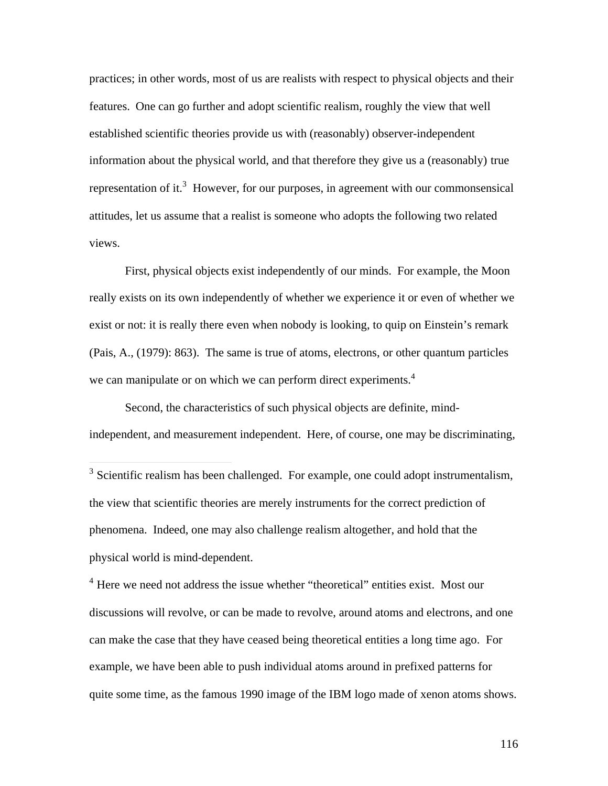practices; in other words, most of us are realists with respect to physical objects and their features. One can go further and adopt scientific realism, roughly the view that well established scientific theories provide us with (reasonably) observer-independent information about the physical world, and that therefore they give us a (reasonably) true representation of it.<sup>3</sup> However, for our purposes, in agreement with our commonsensical attitudes, let us assume that a realist is someone who adopts the following two related views.

First, physical objects exist independently of our minds. For example, the Moon really exists on its own independently of whether we experience it or even of whether we exist or not: it is really there even when nobody is looking, to quip on Einstein's remark (Pais, A., (1979): 863). The same is true of atoms, electrons, or other quantum particles we can manipulate or on which we can perform direct experiments.<sup>4</sup>

Second, the characteristics of such physical objects are definite, mindindependent, and measurement independent. Here, of course, one may be discriminating,

 $\overline{a}$ 

<sup>4</sup> Here we need not address the issue whether "theoretical" entities exist. Most our discussions will revolve, or can be made to revolve, around atoms and electrons, and one can make the case that they have ceased being theoretical entities a long time ago. For example, we have been able to push individual atoms around in prefixed patterns for quite some time, as the famous 1990 image of the IBM logo made of xenon atoms shows.

 $3$  Scientific realism has been challenged. For example, one could adopt instrumentalism, the view that scientific theories are merely instruments for the correct prediction of phenomena. Indeed, one may also challenge realism altogether, and hold that the physical world is mind-dependent.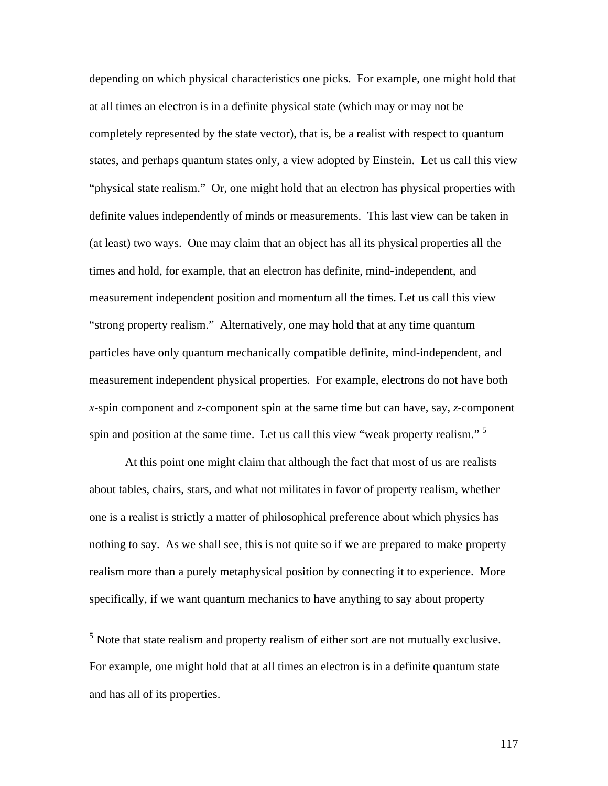depending on which physical characteristics one picks. For example, one might hold that at all times an electron is in a definite physical state (which may or may not be completely represented by the state vector), that is, be a realist with respect to quantum states, and perhaps quantum states only, a view adopted by Einstein. Let us call this view "physical state realism." Or, one might hold that an electron has physical properties with definite values independently of minds or measurements. This last view can be taken in (at least) two ways. One may claim that an object has all its physical properties all the times and hold, for example, that an electron has definite, mind-independent, and measurement independent position and momentum all the times. Let us call this view "strong property realism." Alternatively, one may hold that at any time quantum particles have only quantum mechanically compatible definite, mind-independent, and measurement independent physical properties. For example, electrons do not have both *x*-spin component and *z*-component spin at the same time but can have, say, *z*-component spin and position at the same time. Let us call this view "weak property realism." <sup>5</sup>

At this point one might claim that although the fact that most of us are realists about tables, chairs, stars, and what not militates in favor of property realism, whether one is a realist is strictly a matter of philosophical preference about which physics has nothing to say. As we shall see, this is not quite so if we are prepared to make property realism more than a purely metaphysical position by connecting it to experience. More specifically, if we want quantum mechanics to have anything to say about property

<sup>5</sup> Note that state realism and property realism of either sort are not mutually exclusive. For example, one might hold that at all times an electron is in a definite quantum state and has all of its properties.

 $\overline{a}$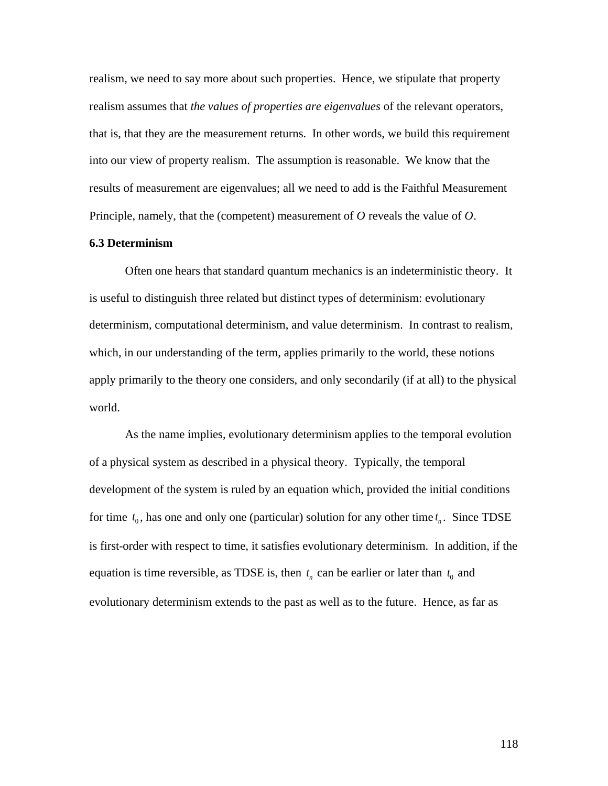realism, we need to say more about such properties. Hence, we stipulate that property realism assumes that *the values of properties are eigenvalues* of the relevant operators, that is, that they are the measurement returns. In other words, we build this requirement into our view of property realism. The assumption is reasonable. We know that the results of measurement are eigenvalues; all we need to add is the Faithful Measurement Principle, namely, that the (competent) measurement of *O* reveals the value of *O*.

## **6.3 Determinism**

Often one hears that standard quantum mechanics is an indeterministic theory. It is useful to distinguish three related but distinct types of determinism: evolutionary determinism, computational determinism, and value determinism. In contrast to realism, which, in our understanding of the term, applies primarily to the world, these notions apply primarily to the theory one considers, and only secondarily (if at all) to the physical world.

As the name implies, evolutionary determinism applies to the temporal evolution of a physical system as described in a physical theory. Typically, the temporal development of the system is ruled by an equation which, provided the initial conditions for time  $t_0$ , has one and only one (particular) solution for any other time  $t_n$ . Since TDSE is first-order with respect to time, it satisfies evolutionary determinism. In addition, if the equation is time reversible, as TDSE is, then  $t_n$  can be earlier or later than  $t_0$  and evolutionary determinism extends to the past as well as to the future. Hence, as far as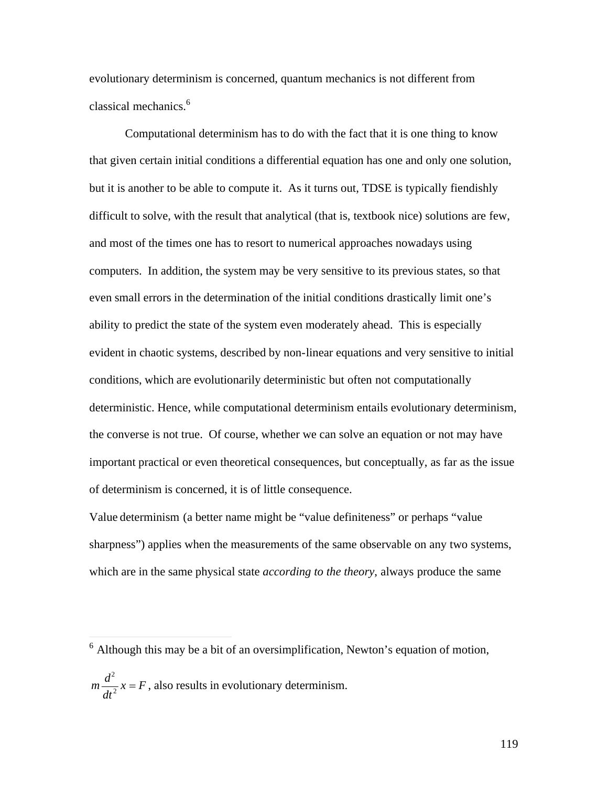evolutionary determinism is concerned, quantum mechanics is not different from classical mechanics.<sup>6</sup>

Computational determinism has to do with the fact that it is one thing to know that given certain initial conditions a differential equation has one and only one solution, but it is another to be able to compute it. As it turns out, TDSE is typically fiendishly difficult to solve, with the result that analytical (that is, textbook nice) solutions are few, and most of the times one has to resort to numerical approaches nowadays using computers. In addition, the system may be very sensitive to its previous states, so that even small errors in the determination of the initial conditions drastically limit one's ability to predict the state of the system even moderately ahead. This is especially evident in chaotic systems, described by non-linear equations and very sensitive to initial conditions, which are evolutionarily deterministic but often not computationally deterministic. Hence, while computational determinism entails evolutionary determinism, the converse is not true. Of course, whether we can solve an equation or not may have important practical or even theoretical consequences, but conceptually, as far as the issue of determinism is concerned, it is of little consequence.

Value determinism (a better name might be "value definiteness" or perhaps "value sharpness") applies when the measurements of the same observable on any two systems, which are in the same physical state *according to the theory*, always produce the same

 6 Although this may be a bit of an oversimplification, Newton's equation of motion,

 $m \frac{d^2}{dx^2} x = F$ , a  $\frac{d}{dt^2}$  *x* = *F*, also results in evolutionary determinism.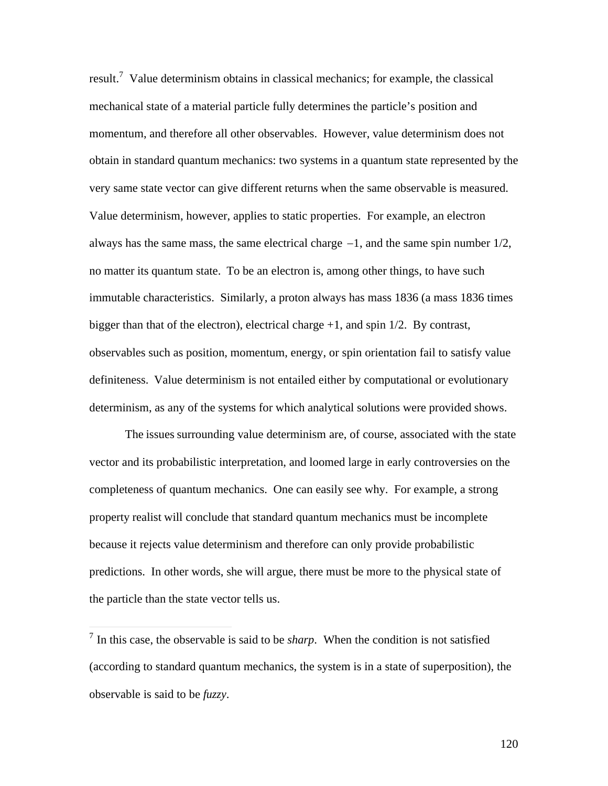result.<sup>7</sup> Value determinism obtains in classical mechanics; for example, the classical mechanical state of a material particle fully determines the particle's position and momentum, and therefore all other observables. However, value determinism does not obtain in standard quantum mechanics: two systems in a quantum state represented by the very same state vector can give different returns when the same observable is measured. Value determinism, however, applies to static properties. For example, an electron always has the same mass, the same electrical charge  $-1$ , and the same spin number  $1/2$ , † immutable characteristics. Similarly, a proton always has mass 1836 (a mass 1836 times no matter its quantum state. To be an electron is, among other things, to have such bigger than that of the electron), electrical charge  $+1$ , and spin  $1/2$ . By contrast, observables such as position, momentum, energy, or spin orientation fail to satisfy value definiteness. Value determinism is not entailed either by computational or evolutionary determinism, as any of the systems for which analytical solutions were provided shows.

The issues surrounding value determinism are, of course, associated with the state vector and its probabilistic interpretation, and loomed large in early controversies on the completeness of quantum mechanics. One can easily see why. For example, a strong property realist will conclude that standard quantum mechanics must be incomplete because it rejects value determinism and therefore can only provide probabilistic predictions. In other words, she will argue, there must be more to the physical state of the particle than the state vector tells us.

 $\overline{a}$ 

<sup>7</sup> In this case, the observable is said to be *sharp*. When the condition is not satisfied (according to standard quantum mechanics, the system is in a state of superposition), the observable is said to be *fuzzy*.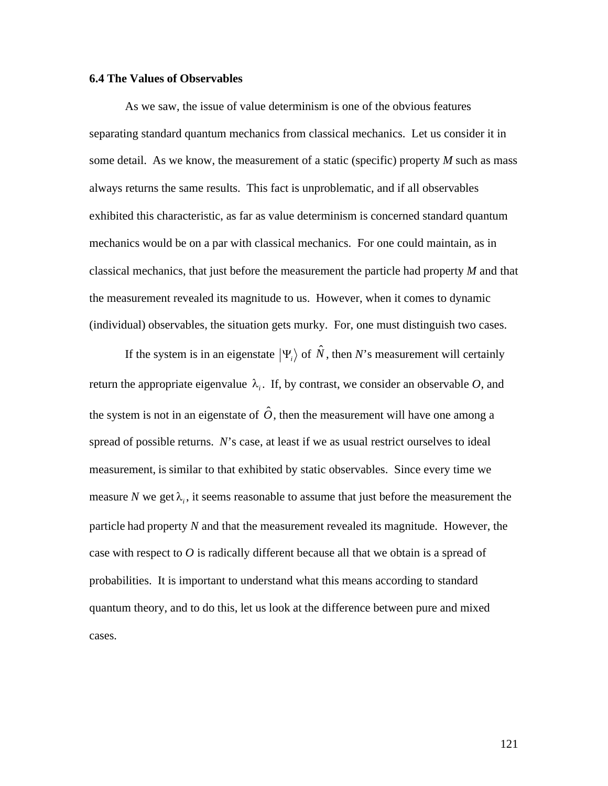### **6.4 The Values of Observables**

As we saw, the issue of value determinism is one of the obvious features separating standard quantum mechanics from classical mechanics. Let us consider it in some detail. As we know, the measurement of a static (specific) property *M* such as mass always returns the same results. This fact is unproblematic, and if all observables exhibited this characteristic, as far as value determinism is concerned standard quantum mechanics would be on a par with classical mechanics. For one could maintain, as in classical mechanics, that just before the measurement the particle had property *M* and that the measurement revealed its magnitude to us. However, when it comes to dynamic (individual) observables, the situation gets murky. For, one must distinguish two cases.

If the system is in an eigenstate  $|\Psi_i\rangle$  of  $\hat{N}$ , then *N*'s measurement will certainly  $\hat{c}$   $\hat{c}$   $\hat{d}$ return the appropriate eigenvalue  $\lambda_i$ . If, by contrast, we consider an observable O, and spread of possible returns. *N*'s case, at least if we as usual restrict ourselves to ideal the system is not in an eigenstate of  $\hat{O}$ , then the measurement will have one among a measurement, is similar to that exhibited by static observables. Since every time we measure N we get  $\lambda_i$ , it seems reasonable to assume that just before the measurement the case with respect to  $O$  is radically different because all that we obtain is a spread of particle had property *N* and that the measurement revealed its magnitude. However, the probabilities. It is important to understand what this means according to standard quantum theory, and to do this, let us look at the difference between pure and mixed cases.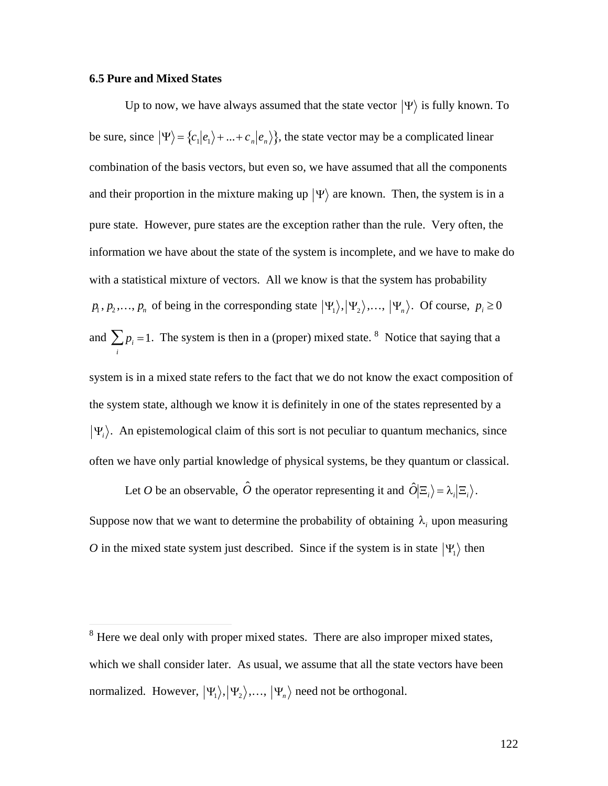#### **6.5 Pure and Mixed States**

Up to now, we have always assumed that the state vector  $|\Psi\rangle$  is fully known. To be sure, since  $|\Psi\rangle = \{c_1|e_1\rangle + ... + c_n|e_n\rangle\}$ , the state vector may be a complicated linear and their proportion in the mixture making up  $|\Psi\rangle$  are known. Then, the system is in a combination of the basis vectors, but even so, we have assumed that all the components † information we have about the state of the system is incomplete, and we have to make do pure state. However, pure states are the exception rather than the rule. Very often, the with a statistical mixture of vectors. All we know is that the system has probability  $p_1, p_2,..., p_n$  of being in the corresponding state  $|\Psi_1\rangle, |\Psi_2\rangle,..., |\Psi_n\rangle$ . Of course,  $p_i \ge 0$ and  $\sum p_i = 1$ . The system is then in a (proper) mixed state. <sup>8</sup> Notice that saying that a  $\mathbf{f}$ *i* system is in a mixed state refers to the fact that we do not know the exact composition of the system state, although we know it is definitely in one of the states represented by a  $\Psi_i$ ). An epistemological claim of this sort is not peculiar to quantum mechanics, since often we have only partial knowledge of physical systems, be they quantum or classical.

Let *O* be an observable,  $\hat{O}$  the operator representing it and  $\hat{O}|\Xi_i\rangle = \lambda_i|\Xi_i\rangle$ . O in the mixed state system just described. Since if the system is in state  $|\Psi_1\rangle$  then Suppose now that we want to determine the probability of obtaining  $\lambda_i$  upon measuring

<sup>&</sup>lt;sup>8</sup> Here we deal only with proper mixed states. There are also improper mixed states, which we shall consider later. As usual, we assume that all the state vectors have been normalized. However,  $|\Psi_1\rangle, |\Psi_2\rangle, ..., |\Psi_n\rangle$  need not be orthogonal.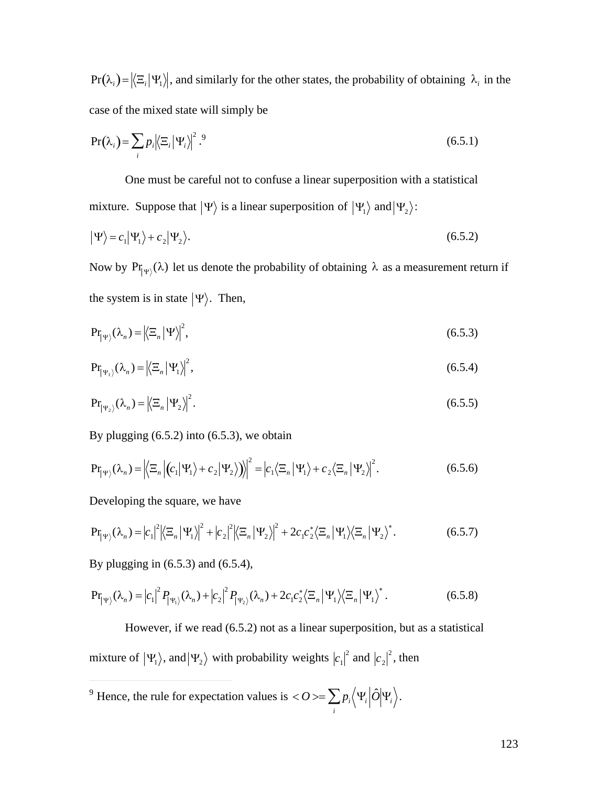$Pr(\lambda_i) = |\langle \Xi_i | \Psi_1 \rangle|$ , and similarly for the other states, the probability of obtaining  $\lambda_i$  in the case of the mixed state will simply be

$$
Pr(\lambda_i) = \sum_i p_i \left| \left\langle \Xi_i \middle| \Psi_i \right\rangle \right|^2.
$$
 (6.5.1)

One must be careful not to confuse a linear superposition with a statistical mixture. Suppose that  $|\Psi\rangle$  is a linear superposition of  $|\Psi_1\rangle$  and  $|\Psi_2\rangle$ :

$$
|\Psi\rangle = c_1 |\Psi_1\rangle + c_2 |\Psi_2\rangle. \tag{6.5.2}
$$

† † † Now by  $Pr_{\vert \Psi \rangle}(\lambda)$  let us denote the probability of obtaining  $\lambda$  as a measurement return if the system is in state  $|\Psi\rangle$ . Then,

$$
\Pr_{|\Psi\rangle}(\lambda_n) = |\langle \Xi_n | \Psi \rangle|^2, \tag{6.5.3}
$$

$$
\Pr_{|\Psi_1\rangle}(\lambda_n) = \left|\left\langle \Xi_n | \Psi_1 \right\rangle\right|^2,\tag{6.5.4}
$$

$$
\Pr_{|\Psi_2\rangle}(\lambda_n) = |\langle \Xi_n | \Psi_2 \rangle|^2. \tag{6.5.5}
$$

By plugging  $(6.5.2)$  into  $(6.5.3)$ , we obtain

$$
\mathbf{Pr}_{|\Psi\rangle}(\lambda_n) = \left| \left\langle \Xi_n \left| \left( c_1 | \Psi_1 \right\rangle + c_2 | \Psi_2 \right) \right\rangle \right|^2 = \left| c_1 \left\langle \Xi_n | \Psi_1 \right\rangle + c_2 \left\langle \Xi_n | \Psi_2 \right\rangle \right|^2. \tag{6.5.6}
$$

Developing the square, we have

$$
\mathbf{Pr}_{|\Psi\rangle}(\lambda_n) = |c_1|^2 \left|\left\langle \Xi_n \left|\Psi_1\right\rangle\right|^2 + |c_2|^2 \left|\left\langle \Xi_n \left|\Psi_2\right\rangle\right|^2 + 2c_1c_2^* \left\langle \Xi_n \left|\Psi_1\right\rangle\left\langle \Xi_n \left|\Psi_2\right\rangle\right|^* \right.\right.\tag{6.5.7}
$$

By plugging in (6.5.3) and (6.5.4),

$$
\Pr_{|\Psi\rangle}(\lambda_n) = |c_1|^2 P_{|\Psi_1\rangle}(\lambda_n) + |c_2|^2 P_{|\Psi_2\rangle}(\lambda_n) + 2c_1 c_2^* \langle \Xi_n | \Psi_1 \rangle \langle \Xi_n | \Psi_1 \rangle^*.
$$
 (6.5.8)

However, if we read (6.5.2) not as a linear superposition, but as a statistical mixture of  $|\Psi_1\rangle$ , and  $|\Psi_2\rangle$  with probability weights  $|c_1|^2$  and  $|c_2|^2$ , then

 $\vec{i}$  $\overline{a}$ <sup>9</sup> Hence, the rule for expectation values is  $\langle O \rangle = \sum p_i \langle \Psi_i | \hat{O} | \Psi_i \rangle$ . *i*  $\sum p_i \big\langle \Psi_i \big|\hat{O}\big|\Psi_i\big\rangle.$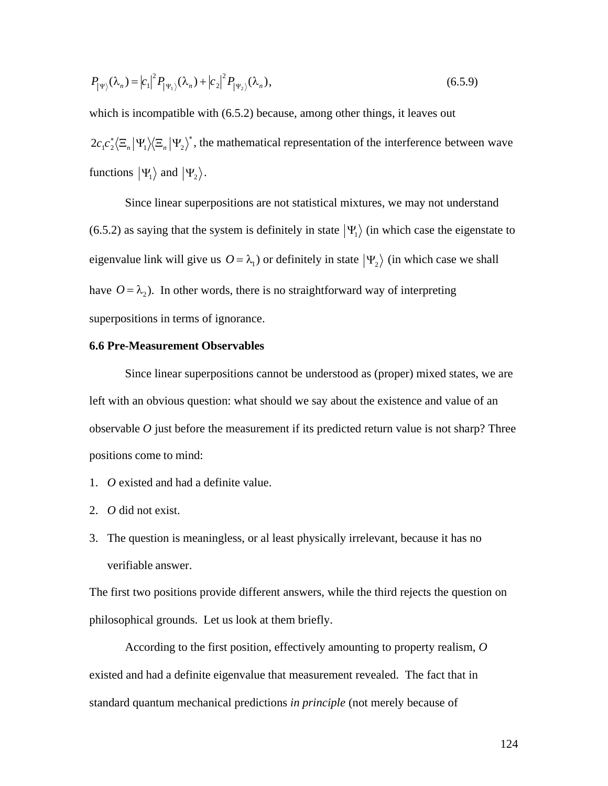$$
P_{|\Psi\rangle}(\lambda_n) = |c_1|^2 P_{|\Psi_1\rangle}(\lambda_n) + |c_2|^2 P_{|\Psi_2\rangle}(\lambda_n),
$$
\n(6.5.9)

which is incompatible with  $(6.5.2)$  because, among other things, it leaves out  $2c_1c_2^*\langle \Xi_n|\Psi_1\rangle\langle \Xi_n|\Psi_2\rangle^*$ , the mathematical representation of the interference between wave functions  $|\Psi_1\rangle$  and  $|\Psi_2\rangle$ .

(6.5.2) as saying that the system is definitely in state  $|\Psi_1\rangle$  (in which case the eigenstate to Since linear superpositions are not statistical mixtures, we may not understand  $\mathbf{r}$  +  $\mathbf{r}$ eigenvalue link will give us  $O = \lambda_1$ ) or definitely in state  $|\Psi_2\rangle$  (in which case we shall superpositions in terms of ignorance. have  $O = \lambda_2$ ). In other words, there is no straightforward way of interpreting

# † **6.6 Pre-Measurement Observables**

Since linear superpositions cannot be understood as (proper) mixed states, we are left with an obvious question: what should we say about the existence and value of an observable *O* just before the measurement if its predicted return value is not sharp? Three positions come to mind:

- 1. *O* existed and had a definite value.
- 2. *O* did not exist.
- 3. The question is meaningless, or al least physically irrelevant, because it has no verifiable answer.

The first two positions provide different answers, while the third rejects the question on philosophical grounds. Let us look at them briefly.

According to the first position, effectively amounting to property realism, *O* existed and had a definite eigenvalue that measurement revealed. The fact that in standard quantum mechanical predictions *in principle* (not merely because of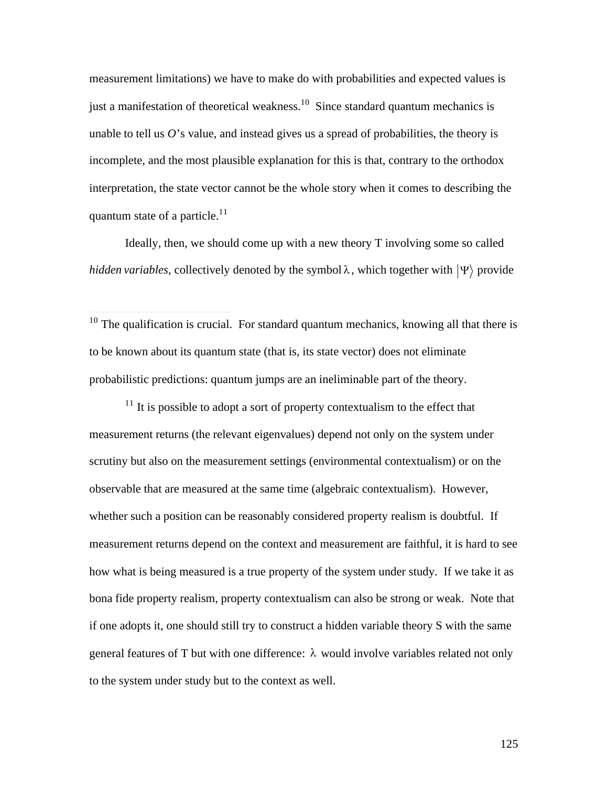measurement limitations) we have to make do with probabilities and expected values is just a manifestation of theoretical weakness.<sup>10</sup> Since standard quantum mechanics is unable to tell us *O*'s value, and instead gives us a spread of probabilities, the theory is incomplete, and the most plausible explanation for this is that, contrary to the orthodox interpretation, the state vector cannot be the whole story when it comes to describing the quantum state of a particle.<sup>11</sup>

Ideally, then, we should come up with a new theory T involving some so called *hidden variables*, collectively denoted by the symbol  $\lambda$ , which together with  $|\Psi\rangle$  provide

nowin:  $10$  The qualification is crucial. For standard quantum mechanics, knowing all that there is to be known about its quantum state (that is, its state vector) does not eliminate probabilistic predictions: quantum jumps are an ineliminable part of the theory.

 $\overline{a}$ 

 $11$  It is possible to adopt a sort of property contextualism to the effect that measurement returns (the relevant eigenvalues) depend not only on the system under scrutiny but also on the measurement settings (environmental contextualism) or on the observable that are measured at the same time (algebraic contextualism). However, whether such a position can be reasonably considered property realism is doubtful. If measurement returns depend on the context and measurement are faithful, it is hard to see how what is being measured is a true property of the system under study. If we take it as bona fide property realism, property contextualism can also be strong or weak. Note that if one adopts it, one should still try to construct a hidden variable theory S with the same general features of T but with one difference: *l* would involve variables related not only to the system under study but to the context as well.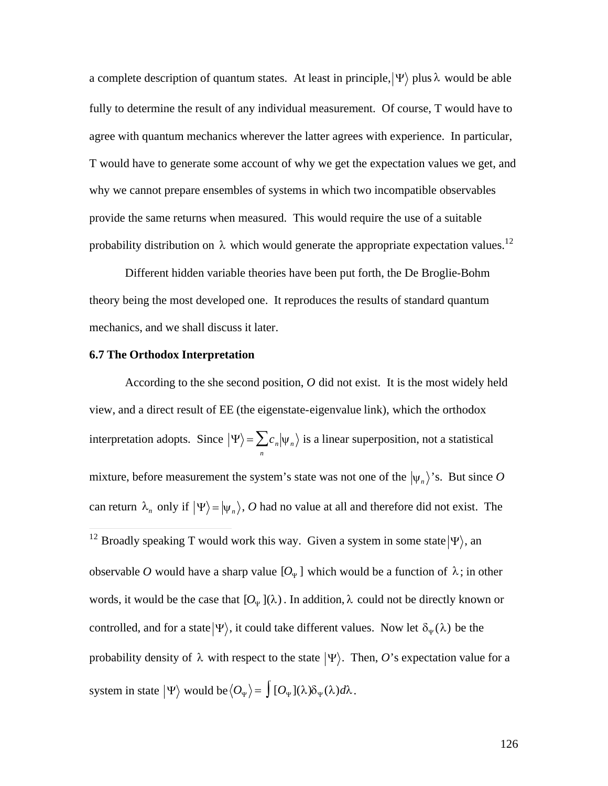a complete description of quantum states. At least in principle,  $|\Psi\rangle$  plus  $\lambda$  would be able agree with quantum mechanics wherever the latter agrees with experience. In particular, fully to determine the result of any individual measurement. Of course, T would have to T would have to generate some account of why we get the expectation values we get, and why we cannot prepare ensembles of systems in which two incompatible observables provide the same returns when measured. This would require the use of a suitable probability distribution on  $\lambda$  which would generate the appropriate expectation values.<sup>12</sup>

Different hidden variable theories have been put forth, the De Broglie-Bohm theory being the most developed one. It reproduces the results of standard quantum mechanics, and we shall discuss it later.

#### **6.7 The Orthodox Interpretation**

According to the she second position, *O* did not exist. It is the most widely held view, and a direct result of EE (the eigenstate-eigenvalue link), which the orthodox interpretation adopts. Since  $|\Psi\rangle = \sum_{n} c_n |\psi_n\rangle$  is a linear superposition, not a statistical can return  $\lambda_n$  only if  $|\Psi\rangle = |\psi_n\rangle$ , O had no value at all and therefore did not exist. The mixture, before measurement the system's state was not one of the  $|\psi_n\rangle$ 's. But since O  $\overline{12}$ <sup>12</sup> Broadly speaking T would work this way. Given a system in some state  $|\Psi\rangle$ , an words, it would be the case that  $[O_{\Psi}](\lambda)$ . In addition,  $\lambda$  could not be directly known or observable O would have a sharp value  $[O_{\Psi}]$  which would be a function of  $\lambda$ ; in other controlled, and for a state  $|\Psi\rangle$ , it could take different values. Now let  $\delta_{\Psi}(\lambda)$  be the probability density of  $\lambda$  with respect to the state  $|\Psi\rangle$ . Then, *O*'s expectation value for a

 $\mathbf{r} = \mathbf{r}$ system in state  $|\Psi\rangle$  would be  $\langle O_{\Psi} \rangle = \int [O_{\Psi}](\lambda) \delta_{\Psi}(\lambda) d\lambda$ .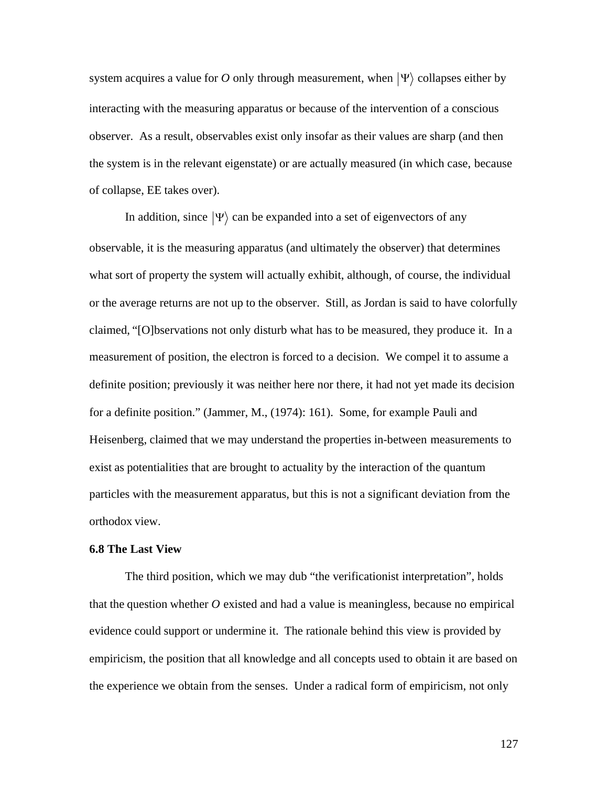system acquires a value for O only through measurement, when  $|\Psi\rangle$  collapses either by observer. As a result, observables exist only insofar as their values are sharp (and then interacting with the measuring apparatus or because of the intervention of a conscious the system is in the relevant eigenstate) or are actually measured (in which case, because of collapse, EE takes over).

In addition, since  $|\Psi\rangle$  can be expanded into a set of eigenvectors of any what sort of property the system will actually exhibit, although, of course, the individual observable, it is the measuring apparatus (and ultimately the observer) that determines or the average returns are not up to the observer. Still, as Jordan is said to have colorfully claimed, "[O]bservations not only disturb what has to be measured, they produce it. In a measurement of position, the electron is forced to a decision. We compel it to assume a definite position; previously it was neither here nor there, it had not yet made its decision for a definite position." (Jammer, M., (1974): 161). Some, for example Pauli and Heisenberg, claimed that we may understand the properties in-between measurements to exist as potentialitie*s* that are brought to actuality by the interaction of the quantum particles with the measurement apparatus, but this is not a significant deviation from the orthodox view.

#### **6.8 The Last View**

The third position, which we may dub "the verificationist interpretation", holds that the question whether *O* existed and had a value is meaningless, because no empirical evidence could support or undermine it. The rationale behind this view is provided by empiricism, the position that all knowledge and all concepts used to obtain it are based on the experience we obtain from the senses. Under a radical form of empiricism, not only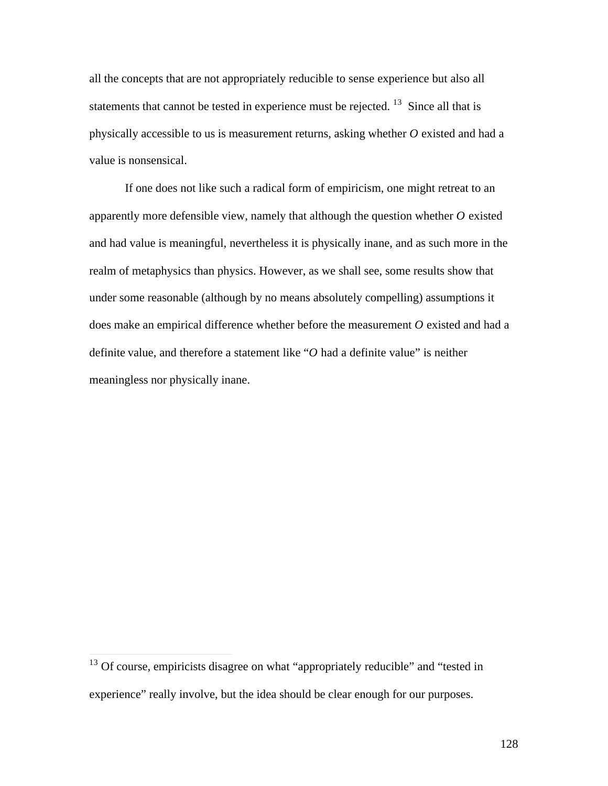all the concepts that are not appropriately reducible to sense experience but also all statements that cannot be tested in experience must be rejected.  $13$  Since all that is physically accessible to us is measurement returns, asking whether *O* existed and had a value is nonsensical.

If one does not like such a radical form of empiricism, one might retreat to an apparently more defensible view, namely that although the question whether *O* existed and had value is meaningful, nevertheless it is physically inane, and as such more in the realm of metaphysics than physics. However, as we shall see, some results show that under some reasonable (although by no means absolutely compelling) assumptions it does make an empirical difference whether before the measurement *O* existed and had a definite value, and therefore a statement like "*O* had a definite value" is neither meaningless nor physically inane.

 $\overline{a}$ 

 $13$  Of course, empiricists disagree on what "appropriately reducible" and "tested in experience" really involve, but the idea should be clear enough for our purposes.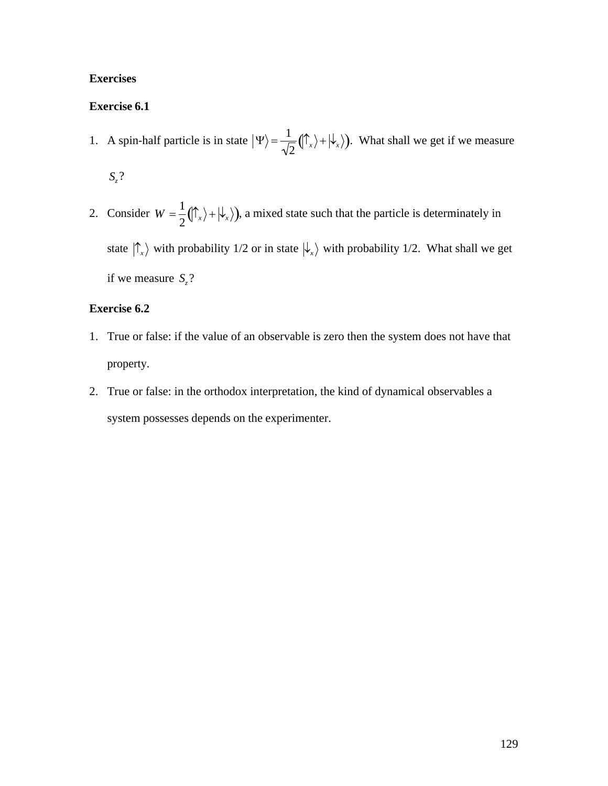## **Exercises**

## **Exercise 6.1**

- 1. A spin-half particle is in state  $|\Psi\rangle = \frac{1}{\sqrt{2}} (|\hat{\Gamma}_x\rangle + |\hat{\Theta}|)$  $\frac{1}{2}(\int_{x}^{x} \rangle + |\psi_{x}\rangle)$ . What shall we get if we measure *Sz*?
- † 2. Consider  $W = \frac{1}{2}(\bigcap_{x} x + \bigcup_{x} y)$ if we measure  $S_z$ ?  $\frac{1}{2}(\int_{-\infty}^{\infty}x+\big|\psi_{x}\big|)$ , a mixed state such that the particle is determinately in state  $|\hat{\Gamma}_x\rangle$  with probability 1/2 or in state  $|\hat{\Gamma}_x\rangle$  with probability 1/2. What shall we get

#### $\mathbf{r}$ **Exercise 6.2**

- 1. True or false: if the value of an observable is zero then the system does not have that property.
- 2. True or false: in the orthodox interpretation, the kind of dynamical observables a system possesses depends on the experimenter.